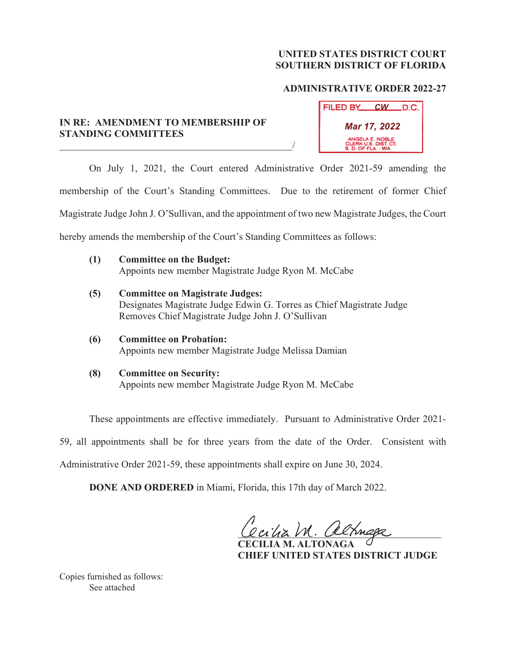## **UNITED STATES DISTRICT COURT SOUTHERN DISTRICT OF FLORIDA**

## **ADMINISTRATIVE ORDER 2022-27**

## **IN RE: AMENDMENT TO MEMBERSHIP OF STANDING COMMITTEES**

 $\overline{\phantom{a}}$ 

| FILED BY_                                                      | <u>CW</u> | LD.C. |
|----------------------------------------------------------------|-----------|-------|
| Mar 17, 2022                                                   |           |       |
| ANGELA E. NOBLE<br>CLERK U.S. DIST. CT.<br>S. D. OF FLA. - MIA |           |       |

 On July 1, 2021, the Court entered Administrative Order 2021-59 amending the membership of the Court's Standing Committees. Due to the retirement of former Chief Magistrate Judge John J. O'Sullivan, and the appointment of two new Magistrate Judges, the Court hereby amends the membership of the Court's Standing Committees as follows:

- **(1) Committee on the Budget:** Appoints new member Magistrate Judge Ryon M. McCabe
- **(5) Committee on Magistrate Judges:** Designates Magistrate Judge Edwin G. Torres as Chief Magistrate Judge Removes Chief Magistrate Judge John J. O'Sullivan
- **(6) Committee on Probation:** Appoints new member Magistrate Judge Melissa Damian
- **(8) Committee on Security:** Appoints new member Magistrate Judge Ryon M. McCabe

These appointments are effective immediately. Pursuant to Administrative Order 2021-

59, all appointments shall be for three years from the date of the Order. Consistent with

Administrative Order 2021-59, these appointments shall expire on June 30, 2024.

**DONE AND ORDERED** in Miami, Florida, this 17th day of March 2022.

Cecilia M. altriaga

**ILIA M. ALT CHIEF UNITED STATES DISTRICT JUDGE** 

Copies furnished as follows: See attached